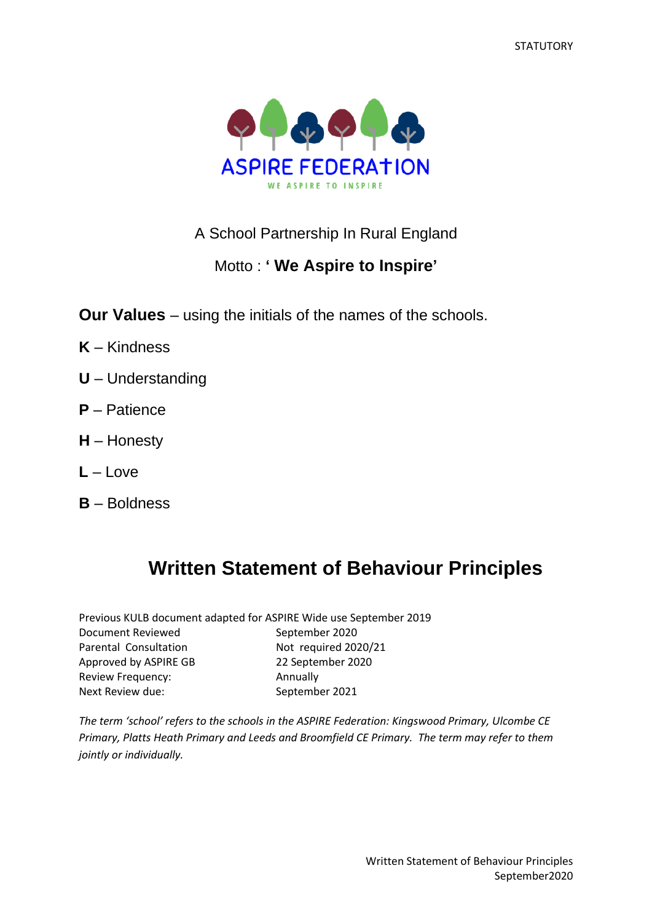**STATUTORY** 



## A School Partnership In Rural England

## Motto : **' We Aspire to Inspire'**

**Our Values** – using the initials of the names of the schools.

- **K** Kindness
- **U** Understanding
- **P** Patience
- **H** Honesty
- **L** Love
- **B** Boldness

# **Written Statement of Behaviour Principles**

|                       | Previous KULB document adapted for ASPIRE Wide use September 2019 |
|-----------------------|-------------------------------------------------------------------|
| Document Reviewed     | September 2020                                                    |
| Parental Consultation | Not required 2020/21                                              |
| Approved by ASPIRE GB | 22 September 2020                                                 |
| Review Frequency:     | Annually                                                          |
| Next Review due:      | September 2021                                                    |

*The term 'school' refers to the schools in the ASPIRE Federation: Kingswood Primary, Ulcombe CE Primary, Platts Heath Primary and Leeds and Broomfield CE Primary. The term may refer to them jointly or individually.*